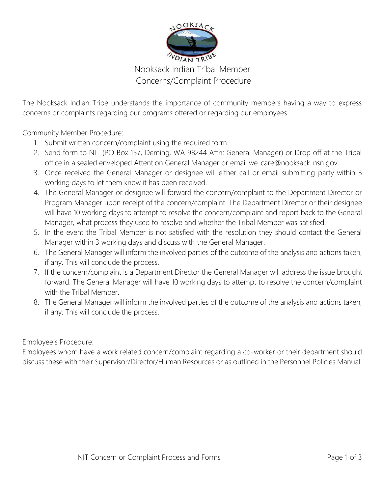

## Nooksack Indian Tribal Member Concerns/Complaint Procedure

The Nooksack Indian Tribe understands the importance of community members having a way to express concerns or complaints regarding our programs offered or regarding our employees.

Community Member Procedure:

- 1. Submit written concern/complaint using the required form.
- 2. Send form to NIT (PO Box 157, Deming, WA 98244 Attn: General Manager) or Drop off at the Tribal office in a sealed enveloped Attention General Manager or email we-care@nooksack-nsn.gov.
- 3. Once received the General Manager or designee will either call or email submitting party within 3 working days to let them know it has been received.
- 4. The General Manager or designee will forward the concern/complaint to the Department Director or Program Manager upon receipt of the concern/complaint. The Department Director or their designee will have 10 working days to attempt to resolve the concern/complaint and report back to the General Manager, what process they used to resolve and whether the Tribal Member was satisfied.
- 5. In the event the Tribal Member is not satisfied with the resolution they should contact the General Manager within 3 working days and discuss with the General Manager.
- 6. The General Manager will inform the involved parties of the outcome of the analysis and actions taken, if any. This will conclude the process.
- 7. If the concern/complaint is a Department Director the General Manager will address the issue brought forward. The General Manager will have 10 working days to attempt to resolve the concern/complaint with the Tribal Member.
- 8. The General Manager will inform the involved parties of the outcome of the analysis and actions taken, if any. This will conclude the process.

Employee's Procedure:

Employees whom have a work related concern/complaint regarding a co-worker or their department should discuss these with their Supervisor/Director/Human Resources or as outlined in the Personnel Policies Manual.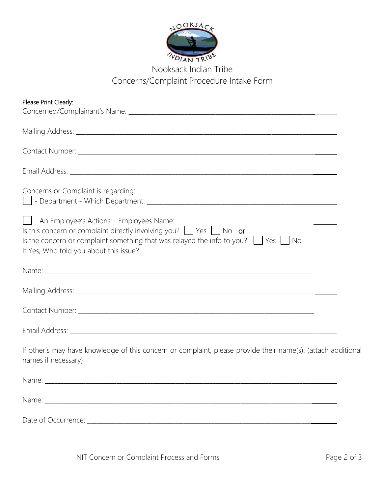

## Nooksack Indian Tribe Concerns/Complaint Procedure Intake Form

| Please Print Clearly:                                                                                                                             |
|---------------------------------------------------------------------------------------------------------------------------------------------------|
|                                                                                                                                                   |
|                                                                                                                                                   |
|                                                                                                                                                   |
|                                                                                                                                                   |
| Concerns or Complaint is regarding:                                                                                                               |
| Is the concern or complaint something that was relayed the info to you? $\parallel$ Yes $\parallel$ No<br>If Yes, Who told you about this issue?: |
|                                                                                                                                                   |
|                                                                                                                                                   |
|                                                                                                                                                   |
|                                                                                                                                                   |
| If other's may have knowledge of this concern or complaint, please provide their name(s): (attach additional<br>names if necessary)               |
|                                                                                                                                                   |
|                                                                                                                                                   |
|                                                                                                                                                   |